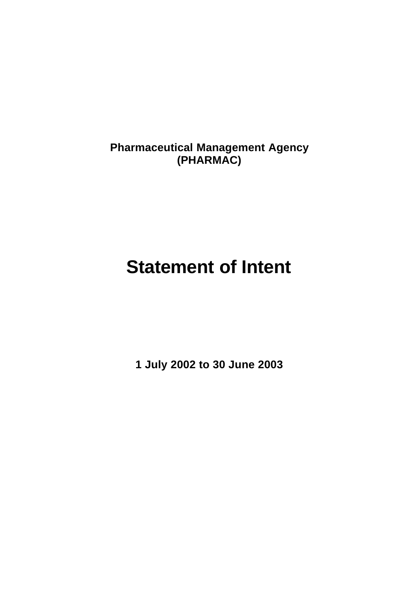**Pharmaceutical Management Agency (PHARMAC)**

# **Statement of Intent**

**1 July 2002 to 30 June 2003**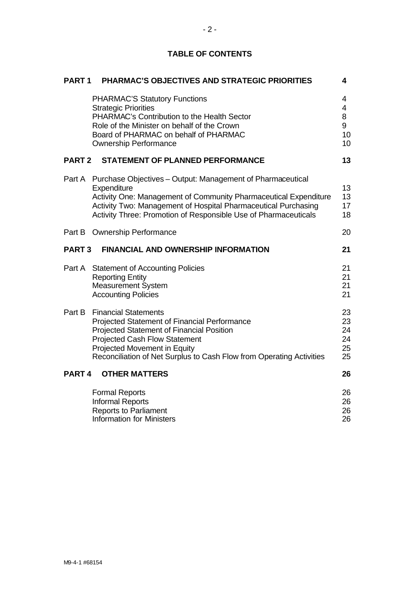|  |  | <b>TABLE OF CONTENTS</b> |
|--|--|--------------------------|
|--|--|--------------------------|

| PART <sub>1</sub> | <b>PHARMAC'S OBJECTIVES AND STRATEGIC PRIORITIES</b>                                                                                                                                                                                                                                      | 4                                                      |
|-------------------|-------------------------------------------------------------------------------------------------------------------------------------------------------------------------------------------------------------------------------------------------------------------------------------------|--------------------------------------------------------|
|                   | <b>PHARMAC'S Statutory Functions</b><br><b>Strategic Priorities</b><br>PHARMAC's Contribution to the Health Sector<br>Role of the Minister on behalf of the Crown<br>Board of PHARMAC on behalf of PHARMAC<br><b>Ownership Performance</b>                                                | 4<br>$\overline{4}$<br>8<br>9<br>10<br>10 <sup>1</sup> |
| <b>PART 2</b>     | <b>STATEMENT OF PLANNED PERFORMANCE</b>                                                                                                                                                                                                                                                   | 13                                                     |
|                   | Part A Purchase Objectives - Output: Management of Pharmaceutical<br>Expenditure<br>Activity One: Management of Community Pharmaceutical Expenditure<br>Activity Two: Management of Hospital Pharmaceutical Purchasing<br>Activity Three: Promotion of Responsible Use of Pharmaceuticals | 13<br>13<br>17<br>18                                   |
|                   | Part B Ownership Performance                                                                                                                                                                                                                                                              | 20                                                     |
| <b>PART 3</b>     | <b>FINANCIAL AND OWNERSHIP INFORMATION</b>                                                                                                                                                                                                                                                | 21                                                     |
|                   | Part A Statement of Accounting Policies<br><b>Reporting Entity</b><br><b>Measurement System</b><br><b>Accounting Policies</b>                                                                                                                                                             | 21<br>21<br>21<br>21                                   |
| Part B            | <b>Financial Statements</b><br>Projected Statement of Financial Performance<br>Projected Statement of Financial Position<br><b>Projected Cash Flow Statement</b><br>Projected Movement in Equity<br>Reconciliation of Net Surplus to Cash Flow from Operating Activities                  | 23<br>23<br>24<br>24<br>25<br>25                       |
| PART <sub>4</sub> | <b>OTHER MATTERS</b>                                                                                                                                                                                                                                                                      | 26                                                     |
|                   | <b>Formal Reports</b><br><b>Informal Reports</b><br><b>Reports to Parliament</b><br><b>Information for Ministers</b>                                                                                                                                                                      | 26<br>26<br>26<br>26                                   |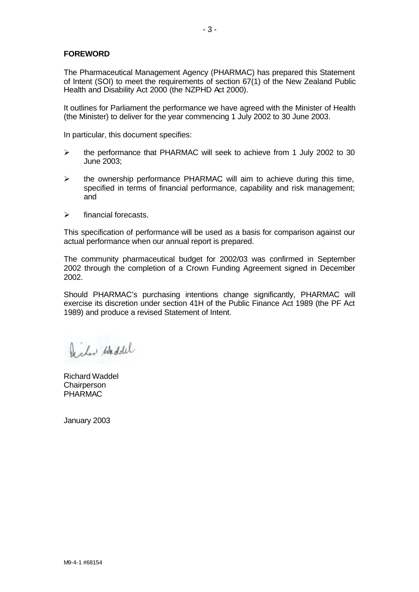## **FOREWORD**

The Pharmaceutical Management Agency (PHARMAC) has prepared this Statement of Intent (SOI) to meet the requirements of section 67(1) of the New Zealand Public Health and Disability Act 2000 (the NZPHD Act 2000).

It outlines for Parliament the performance we have agreed with the Minister of Health (the Minister) to deliver for the year commencing 1 July 2002 to 30 June 2003.

In particular, this document specifies:

- ÿ the performance that PHARMAC will seek to achieve from 1 July 2002 to 30 June 2003;
- $\triangleright$  the ownership performance PHARMAC will aim to achieve during this time, specified in terms of financial performance, capability and risk management; and
- $\triangleright$  financial forecasts.

This specification of performance will be used as a basis for comparison against our actual performance when our annual report is prepared.

The community pharmaceutical budget for 2002/03 was confirmed in September 2002 through the completion of a Crown Funding Agreement signed in December 2002.

Should PHARMAC's purchasing intentions change significantly, PHARMAC will exercise its discretion under section 41H of the Public Finance Act 1989 (the PF Act 1989) and produce a revised Statement of Intent.

De char Waddel

Richard Waddel **Chairperson** PHARMAC

January 2003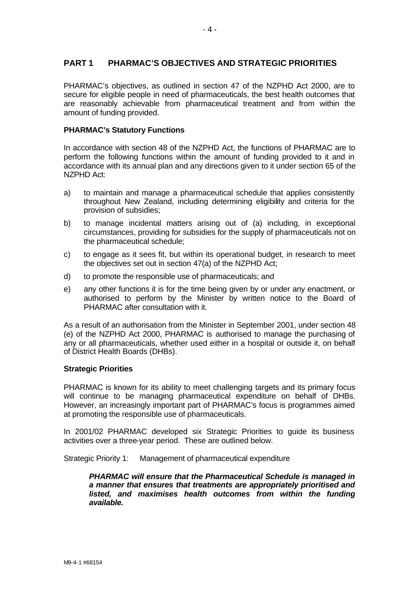## **PART 1 PHARMAC'S OBJECTIVES AND STRATEGIC PRIORITIES**

PHARMAC's objectives, as outlined in section 47 of the NZPHD Act 2000, are to secure for eligible people in need of pharmaceuticals, the best health outcomes that are reasonably achievable from pharmaceutical treatment and from within the amount of funding provided.

#### **PHARMAC's Statutory Functions**

In accordance with section 48 of the NZPHD Act, the functions of PHARMAC are to perform the following functions within the amount of funding provided to it and in accordance with its annual plan and any directions given to it under section 65 of the NZPHD Act:

- a) to maintain and manage a pharmaceutical schedule that applies consistently throughout New Zealand, including determining eligibility and criteria for the provision of subsidies;
- b) to manage incidental matters arising out of (a) including, in exceptional circumstances, providing for subsidies for the supply of pharmaceuticals not on the pharmaceutical schedule;
- c) to engage as it sees fit, but within its operational budget, in research to meet the objectives set out in section 47(a) of the NZPHD Act;
- d) to promote the responsible use of pharmaceuticals; and
- e) any other functions it is for the time being given by or under any enactment, or authorised to perform by the Minister by written notice to the Board of PHARMAC after consultation with it.

As a result of an authorisation from the Minister in September 2001, under section 48 (e) of the NZPHD Act 2000, PHARMAC is authorised to manage the purchasing of any or all pharmaceuticals, whether used either in a hospital or outside it, on behalf of District Health Boards (DHBs).

#### **Strategic Priorities**

PHARMAC is known for its ability to meet challenging targets and its primary focus will continue to be managing pharmaceutical expenditure on behalf of DHBs. However, an increasingly important part of PHARMAC's focus is programmes aimed at promoting the responsible use of pharmaceuticals.

In 2001/02 PHARMAC developed six Strategic Priorities to guide its business activities over a three-year period. These are outlined below.

Strategic Priority 1: Management of pharmaceutical expenditure

*PHARMAC will ensure that the Pharmaceutical Schedule is managed in a manner that ensures that treatments are appropriately prioritised and listed, and maximises health outcomes from within the funding available.*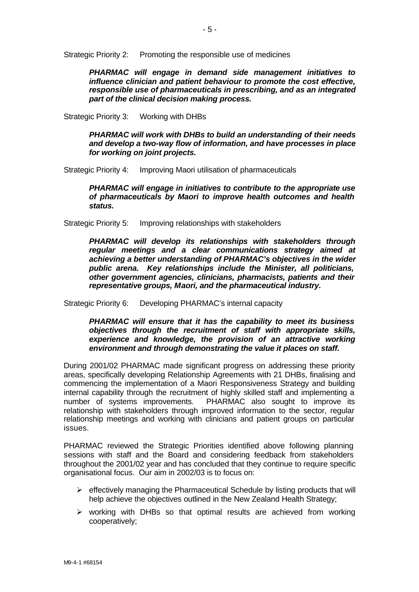Strategic Priority 2: Promoting the responsible use of medicines

*PHARMAC will engage in demand side management initiatives to influence clinician and patient behaviour to promote the cost effective, responsible use of pharmaceuticals in prescribing, and as an integrated part of the clinical decision making process.* 

Strategic Priority 3: Working with DHBs

*PHARMAC will work with DHBs to build an understanding of their needs and develop a two-way flow of information, and have processes in place for working on joint projects.*

Strategic Priority 4: Improving Maori utilisation of pharmaceuticals

*PHARMAC will engage in initiatives to contribute to the appropriate use of pharmaceuticals by Maori to improve health outcomes and health status.*

Strategic Priority 5: Improving relationships with stakeholders

*PHARMAC will develop its relationships with stakeholders through regular meetings and a clear communications strategy aimed at achieving a better understanding of PHARMAC's objectives in the wider public arena. Key relationships include the Minister, all politicians, other government agencies, clinicians, pharmacists, patients and their representative groups, Maori, and the pharmaceutical industry.*

Strategic Priority 6: Developing PHARMAC's internal capacity

*PHARMAC will ensure that it has the capability to meet its business objectives through the recruitment of staff with appropriate skills, experience and knowledge, the provision of an attractive working environment and through demonstrating the value it places on staff.* 

During 2001/02 PHARMAC made significant progress on addressing these priority areas, specifically developing Relationship Agreements with 21 DHBs, finalising and commencing the implementation of a Maori Responsiveness Strategy and building internal capability through the recruitment of highly skilled staff and implementing a number of systems improvements. PHARMAC also sought to improve its relationship with stakeholders through improved information to the sector, regular relationship meetings and working with clinicians and patient groups on particular issues.

PHARMAC reviewed the Strategic Priorities identified above following planning sessions with staff and the Board and considering feedback from stakeholders throughout the 2001/02 year and has concluded that they continue to require specific organisational focus. Our aim in 2002/03 is to focus on:

- $\triangleright$  effectively managing the Pharmaceutical Schedule by listing products that will help achieve the objectives outlined in the New Zealand Health Strategy;
- $\triangleright$  working with DHBs so that optimal results are achieved from working cooperatively;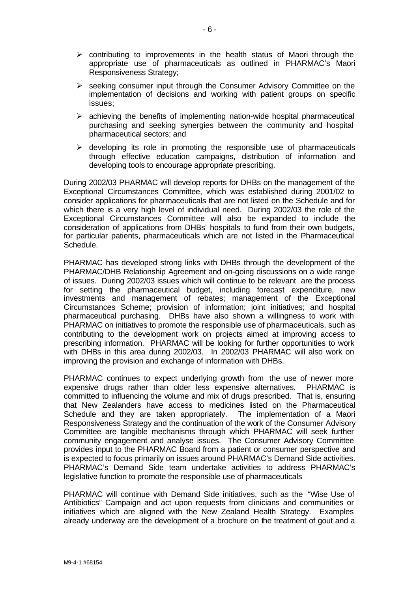- $\triangleright$  contributing to improvements in the health status of Maori through the appropriate use of pharmaceuticals as outlined in PHARMAC's Maori Responsiveness Strategy;
- $\triangleright$  seeking consumer input through the Consumer Advisory Committee on the implementation of decisions and working with patient groups on specific issues;
- $\triangleright$  achieving the benefits of implementing nation-wide hospital pharmaceutical purchasing and seeking synergies between the community and hospital pharmaceutical sectors; and
- $\triangleright$  developing its role in promoting the responsible use of pharmaceuticals through effective education campaigns, distribution of information and developing tools to encourage appropriate prescribing.

During 2002/03 PHARMAC will develop reports for DHBs on the management of the Exceptional Circumstances Committee, which was established during 2001/02 to consider applications for pharmaceuticals that are not listed on the Schedule and for which there is a very high level of individual need. During 2002/03 the role of the Exceptional Circumstances Committee will also be expanded to include the consideration of applications from DHBs' hospitals to fund from their own budgets, for particular patients, pharmaceuticals which are not listed in the Pharmaceutical Schedule.

PHARMAC has developed strong links with DHBs through the development of the PHARMAC/DHB Relationship Agreement and on-going discussions on a wide range of issues. During 2002/03 issues which will continue to be relevant are the process for setting the pharmaceutical budget, including forecast expenditure, new investments and management of rebates; management of the Exceptional Circumstances Scheme; provision of information; joint initiatives; and hospital pharmaceutical purchasing. DHBs have also shown a willingness to work with PHARMAC on initiatives to promote the responsible use of pharmaceuticals, such as contributing to the development work on projects aimed at improving access to prescribing information. PHARMAC will be looking for further opportunities to work with DHBs in this area during 2002/03. In 2002/03 PHARMAC will also work on improving the provision and exchange of information with DHBs.

PHARMAC continues to expect underlying growth from the use of newer more expensive drugs rather than older less expensive alternatives. PHARMAC is committed to influencing the volume and mix of drugs prescribed. That is, ensuring that New Zealanders have access to medicines listed on the Pharmaceutical Schedule and they are taken appropriately. The implementation of a Maori Responsiveness Strategy and the continuation of the work of the Consumer Advisory Committee are tangible mechanisms through which PHARMAC will seek further community engagement and analyse issues. The Consumer Advisory Committee provides input to the PHARMAC Board from a patient or consumer perspective and is expected to focus primarily on issues around PHARMAC's Demand Side activities. PHARMAC's Demand Side team undertake activities to address PHARMAC's legislative function to promote the responsible use of pharmaceuticals

PHARMAC will continue with Demand Side initiatives, such as the "Wise Use of Antibiotics" Campaign and act upon requests from clinicians and communities or initiatives which are aligned with the New Zealand Health Strategy. Examples already underway are the development of a brochure on the treatment of gout and a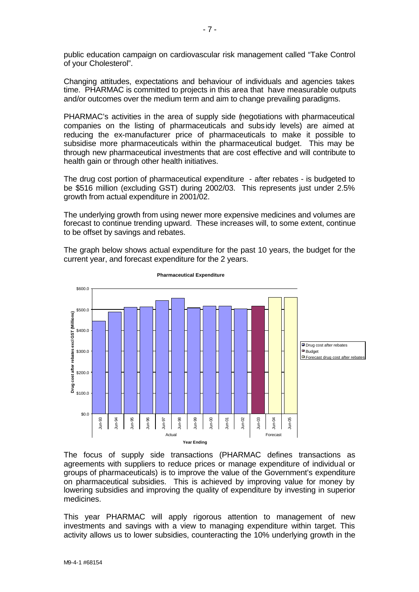public education campaign on cardiovascular risk management called "Take Control of your Cholesterol".

Changing attitudes, expectations and behaviour of individuals and agencies takes time. PHARMAC is committed to projects in this area that have measurable outputs and/or outcomes over the medium term and aim to change prevailing paradigms.

PHARMAC's activities in the area of supply side (negotiations with pharmaceutical companies on the listing of pharmaceuticals and subsidy levels) are aimed at reducing the ex-manufacturer price of pharmaceuticals to make it possible to subsidise more pharmaceuticals within the pharmaceutical budget. This may be through new pharmaceutical investments that are cost effective and will contribute to health gain or through other health initiatives.

The drug cost portion of pharmaceutical expenditure - after rebates - is budgeted to be \$516 million (excluding GST) during 2002/03. This represents just under 2.5% growth from actual expenditure in 2001/02.

The underlying growth from using newer more expensive medicines and volumes are forecast to continue trending upward. These increases will, to some extent, continue to be offset by savings and rebates.

The graph below shows actual expenditure for the past 10 years, the budget for the current year, and forecast expenditure for the 2 years.



**Pharmaceutical Expenditure**

The focus of supply side transactions (PHARMAC defines transactions as agreements with suppliers to reduce prices or manage expenditure of individual or groups of pharmaceuticals) is to improve the value of the Government's expenditure on pharmaceutical subsidies. This is achieved by improving value for money by lowering subsidies and improving the quality of expenditure by investing in superior medicines.

This year PHARMAC will apply rigorous attention to management of new investments and savings with a view to managing expenditure within target. This activity allows us to lower subsidies, counteracting the 10% underlying growth in the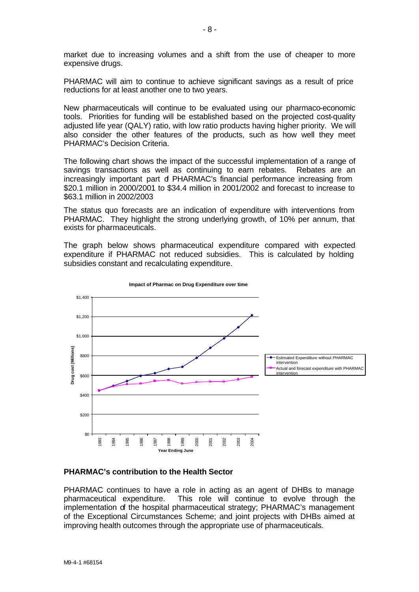market due to increasing volumes and a shift from the use of cheaper to more expensive drugs.

PHARMAC will aim to continue to achieve significant savings as a result of price reductions for at least another one to two years.

New pharmaceuticals will continue to be evaluated using our pharmaco-economic tools. Priorities for funding will be established based on the projected cost-quality adjusted life year (QALY) ratio, with low ratio products having higher priority. We will also consider the other features of the products, such as how well they meet PHARMAC's Decision Criteria.

The following chart shows the impact of the successful implementation of a range of savings transactions as well as continuing to earn rebates. Rebates are an increasingly important part of PHARMAC's financial performance increasing from \$20.1 million in 2000/2001 to \$34.4 million in 2001/2002 and forecast to increase to \$63.1 million in 2002/2003

The status quo forecasts are an indication of expenditure with interventions from PHARMAC. They highlight the strong underlying growth, of 10% per annum, that exists for pharmaceuticals.

The graph below shows pharmaceutical expenditure compared with expected expenditure if PHARMAC not reduced subsidies. This is calculated by holding subsidies constant and recalculating expenditure.



#### **Impact of Pharmac on Drug Expenditure over time**

#### **PHARMAC's contribution to the Health Sector**

PHARMAC continues to have a role in acting as an agent of DHBs to manage pharmaceutical expenditure. This role will continue to evolve through the implementation of the hospital pharmaceutical strategy; PHARMAC's management of the Exceptional Circumstances Scheme; and joint projects with DHBs aimed at improving health outcomes through the appropriate use of pharmaceuticals.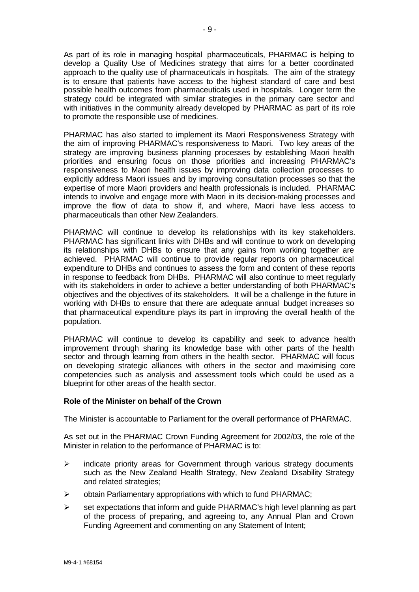As part of its role in managing hospital pharmaceuticals, PHARMAC is helping to develop a Quality Use of Medicines strategy that aims for a better coordinated approach to the quality use of pharmaceuticals in hospitals. The aim of the strategy is to ensure that patients have access to the highest standard of care and best possible health outcomes from pharmaceuticals used in hospitals. Longer term the strategy could be integrated with similar strategies in the primary care sector and with initiatives in the community already developed by PHARMAC as part of its role to promote the responsible use of medicines.

PHARMAC has also started to implement its Maori Responsiveness Strategy with the aim of improving PHARMAC's responsiveness to Maori. Two key areas of the strategy are improving business planning processes by establishing Maori health priorities and ensuring focus on those priorities and increasing PHARMAC's responsiveness to Maori health issues by improving data collection processes to explicitly address Maori issues and by improving consultation processes so that the expertise of more Maori providers and health professionals is included. PHARMAC intends to involve and engage more with Maori in its decision-making processes and improve the flow of data to show if, and where, Maori have less access to pharmaceuticals than other New Zealanders.

PHARMAC will continue to develop its relationships with its key stakeholders. PHARMAC has significant links with DHBs and will continue to work on developing its relationships with DHBs to ensure that any gains from working together are achieved. PHARMAC will continue to provide regular reports on pharmaceutical expenditure to DHBs and continues to assess the form and content of these reports in response to feedback from DHBs. PHARMAC will also continue to meet regularly with its stakeholders in order to achieve a better understanding of both PHARMAC's objectives and the objectives of its stakeholders. It will be a challenge in the future in working with DHBs to ensure that there are adequate annual budget increases so that pharmaceutical expenditure plays its part in improving the overall health of the population.

PHARMAC will continue to develop its capability and seek to advance health improvement through sharing its knowledge base with other parts of the health sector and through learning from others in the health sector. PHARMAC will focus on developing strategic alliances with others in the sector and maximising core competencies such as analysis and assessment tools which could be used as a blueprint for other areas of the health sector.

#### **Role of the Minister on behalf of the Crown**

The Minister is accountable to Parliament for the overall performance of PHARMAC.

As set out in the PHARMAC Crown Funding Agreement for 2002/03, the role of the Minister in relation to the performance of PHARMAC is to:

- $\triangleright$  indicate priority areas for Government through various strategy documents such as the New Zealand Health Strategy, New Zealand Disability Strategy and related strategies;
- $\triangleright$  obtain Parliamentary appropriations with which to fund PHARMAC;
- $\triangleright$  set expectations that inform and guide PHARMAC's high level planning as part of the process of preparing, and agreeing to, any Annual Plan and Crown Funding Agreement and commenting on any Statement of Intent;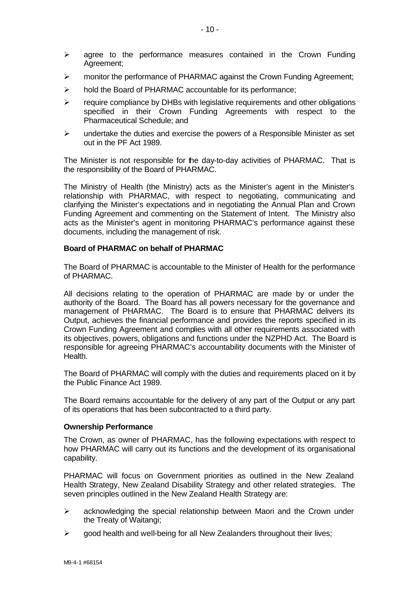- $\triangleright$  agree to the performance measures contained in the Crown Funding Agreement;
- $\triangleright$  monitor the performance of PHARMAC against the Crown Funding Agreement;
- $\triangleright$  hold the Board of PHARMAC accountable for its performance;
- $\triangleright$  require compliance by DHBs with legislative requirements and other obligations specified in their Crown Funding Agreements with respect to the Pharmaceutical Schedule; and
- $\triangleright$  undertake the duties and exercise the powers of a Responsible Minister as set out in the PF Act 1989.

The Minister is not responsible for the day-to-day activities of PHARMAC. That is the responsibility of the Board of PHARMAC.

The Ministry of Health (the Ministry) acts as the Minister's agent in the Minister's relationship with PHARMAC, with respect to negotiating, communicating and clarifying the Minister's expectations and in negotiating the Annual Plan and Crown Funding Agreement and commenting on the Statement of Intent. The Ministry also acts as the Minister's agent in monitoring PHARMAC's performance against these documents, including the management of risk.

#### **Board of PHARMAC on behalf of PHARMAC**

The Board of PHARMAC is accountable to the Minister of Health for the performance of PHARMAC.

All decisions relating to the operation of PHARMAC are made by or under the authority of the Board. The Board has all powers necessary for the governance and management of PHARMAC. The Board is to ensure that PHARMAC delivers its Output, achieves the financial performance and provides the reports specified in its Crown Funding Agreement and complies with all other requirements associated with its objectives, powers, obligations and functions under the NZPHD Act. The Board is responsible for agreeing PHARMAC's accountability documents with the Minister of Health.

The Board of PHARMAC will comply with the duties and requirements placed on it by the Public Finance Act 1989.

The Board remains accountable for the delivery of any part of the Output or any part of its operations that has been subcontracted to a third party.

#### **Ownership Performance**

The Crown, as owner of PHARMAC, has the following expectations with respect to how PHARMAC will carry out its functions and the development of its organisational capability.

PHARMAC will focus on Government priorities as outlined in the New Zealand Health Strategy, New Zealand Disability Strategy and other related strategies. The seven principles outlined in the New Zealand Health Strategy are:

- $\triangleright$  acknowledging the special relationship between Maori and the Crown under the Treaty of Waitangi;
- $\triangleright$  good health and well-being for all New Zealanders throughout their lives;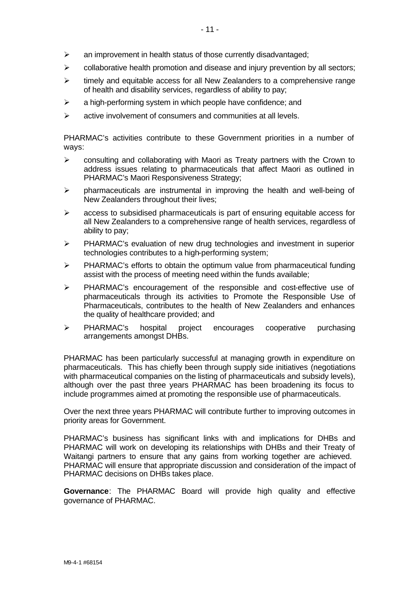- $\triangleright$  an improvement in health status of those currently disadvantaged;
- $\triangleright$  collaborative health promotion and disease and injury prevention by all sectors;
- $\triangleright$  timely and equitable access for all New Zealanders to a comprehensive range of health and disability services, regardless of ability to pay;
- $\triangleright$  a high-performing system in which people have confidence; and
- $\triangleright$  active involvement of consumers and communities at all levels.

PHARMAC's activities contribute to these Government priorities in a number of ways:

- $\triangleright$  consulting and collaborating with Maori as Treaty partners with the Crown to address issues relating to pharmaceuticals that affect Maori as outlined in PHARMAC's Maori Responsiveness Strategy;
- $\triangleright$  pharmaceuticals are instrumental in improving the health and well-being of New Zealanders throughout their lives;
- $\geq$  access to subsidised pharmaceuticals is part of ensuring equitable access for all New Zealanders to a comprehensive range of health services, regardless of ability to pay;
- $\triangleright$  PHARMAC's evaluation of new drug technologies and investment in superior technologies contributes to a high-performing system;
- $\triangleright$  PHARMAC's efforts to obtain the optimum value from pharmaceutical funding assist with the process of meeting need within the funds available;
- $\triangleright$  PHARMAC's encouragement of the responsible and cost-effective use of pharmaceuticals through its activities to Promote the Responsible Use of Pharmaceuticals, contributes to the health of New Zealanders and enhances the quality of healthcare provided; and
- ÿ PHARMAC's hospital project encourages cooperative purchasing arrangements amongst DHBs.

PHARMAC has been particularly successful at managing growth in expenditure on pharmaceuticals. This has chiefly been through supply side initiatives (negotiations with pharmaceutical companies on the listing of pharmaceuticals and subsidy levels), although over the past three years PHARMAC has been broadening its focus to include programmes aimed at promoting the responsible use of pharmaceuticals.

Over the next three years PHARMAC will contribute further to improving outcomes in priority areas for Government.

PHARMAC's business has significant links with and implications for DHBs and PHARMAC will work on developing its relationships with DHBs and their Treaty of Waitangi partners to ensure that any gains from working together are achieved. PHARMAC will ensure that appropriate discussion and consideration of the impact of PHARMAC decisions on DHBs takes place.

**Governance**: The PHARMAC Board will provide high quality and effective governance of PHARMAC.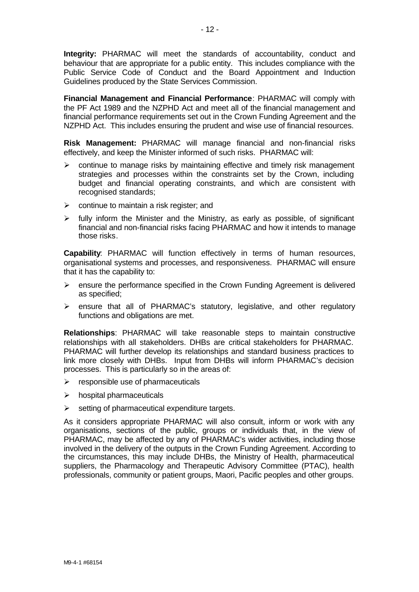**Integrity:** PHARMAC will meet the standards of accountability, conduct and behaviour that are appropriate for a public entity. This includes compliance with the Public Service Code of Conduct and the Board Appointment and Induction Guidelines produced by the State Services Commission.

**Financial Management and Financial Performance**: PHARMAC will comply with the PF Act 1989 and the NZPHD Act and meet all of the financial management and financial performance requirements set out in the Crown Funding Agreement and the NZPHD Act. This includes ensuring the prudent and wise use of financial resources.

**Risk Management:** PHARMAC will manage financial and non-financial risks effectively, and keep the Minister informed of such risks. PHARMAC will:

- $\triangleright$  continue to manage risks by maintaining effective and timely risk management strategies and processes within the constraints set by the Crown, including budget and financial operating constraints, and which are consistent with recognised standards;
- $\triangleright$  continue to maintain a risk register; and
- $\triangleright$  fully inform the Minister and the Ministry, as early as possible, of significant financial and non-financial risks facing PHARMAC and how it intends to manage those risks.

**Capability**: PHARMAC will function effectively in terms of human resources, organisational systems and processes, and responsiveness. PHARMAC will ensure that it has the capability to:

- $\triangleright$  ensure the performance specified in the Crown Funding Agreement is delivered as specified;
- $\triangleright$  ensure that all of PHARMAC's statutory, legislative, and other regulatory functions and obligations are met.

**Relationships**: PHARMAC will take reasonable steps to maintain constructive relationships with all stakeholders. DHBs are critical stakeholders for PHARMAC. PHARMAC will further develop its relationships and standard business practices to link more closely with DHBs. Input from DHBs will inform PHARMAC's decision processes. This is particularly so in the areas of:

- $\triangleright$  responsible use of pharmaceuticals
- $\triangleright$  hospital pharmaceuticals
- $\triangleright$  setting of pharmaceutical expenditure targets.

As it considers appropriate PHARMAC will also consult, inform or work with any organisations, sections of the public, groups or individuals that, in the view of PHARMAC, may be affected by any of PHARMAC's wider activities, including those involved in the delivery of the outputs in the Crown Funding Agreement. According to the circumstances, this may include DHBs, the Ministry of Health, pharmaceutical suppliers, the Pharmacology and Therapeutic Advisory Committee (PTAC), health professionals, community or patient groups, Maori, Pacific peoples and other groups.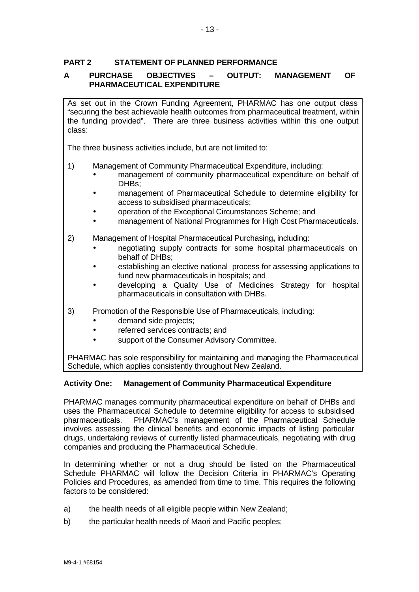## **PART 2 STATEMENT OF PLANNED PERFORMANCE**

## **A PURCHASE OBJECTIVES – OUTPUT: MANAGEMENT OF PHARMACEUTICAL EXPENDITURE**

As set out in the Crown Funding Agreement, PHARMAC has one output class "securing the best achievable health outcomes from pharmaceutical treatment, within the funding provided". There are three business activities within this one output class:

The three business activities include, but are not limited to:

- 1) Management of Community Pharmaceutical Expenditure, including:
	- management of community pharmaceutical expenditure on behalf of DHBs;
	- management of Pharmaceutical Schedule to determine eligibility for access to subsidised pharmaceuticals;
	- operation of the Exceptional Circumstances Scheme; and
	- management of National Programmes for High Cost Pharmaceuticals.
- 2) Management of Hospital Pharmaceutical Purchasing**,** including:
	- negotiating supply contracts for some hospital pharmaceuticals on behalf of DHBs;
	- establishing an elective national process for assessing applications to fund new pharmaceuticals in hospitals; and
	- developing a Quality Use of Medicines Strategy for hospital pharmaceuticals in consultation with DHBs.
- 3) Promotion of the Responsible Use of Pharmaceuticals, including:
	- demand side projects;
	- referred services contracts; and
	- support of the Consumer Advisory Committee.

PHARMAC has sole responsibility for maintaining and managing the Pharmaceutical Schedule, which applies consistently throughout New Zealand.

## **Activity One: Management of Community Pharmaceutical Expenditure**

PHARMAC manages community pharmaceutical expenditure on behalf of DHBs and uses the Pharmaceutical Schedule to determine eligibility for access to subsidised pharmaceuticals. PHARMAC's management of the Pharmaceutical Schedule involves assessing the clinical benefits and economic impacts of listing particular drugs, undertaking reviews of currently listed pharmaceuticals, negotiating with drug companies and producing the Pharmaceutical Schedule.

In determining whether or not a drug should be listed on the Pharmaceutical Schedule PHARMAC will follow the Decision Criteria in PHARMAC's Operating Policies and Procedures, as amended from time to time. This requires the following factors to be considered:

- a) the health needs of all eligible people within New Zealand;
- b) the particular health needs of Maori and Pacific peoples;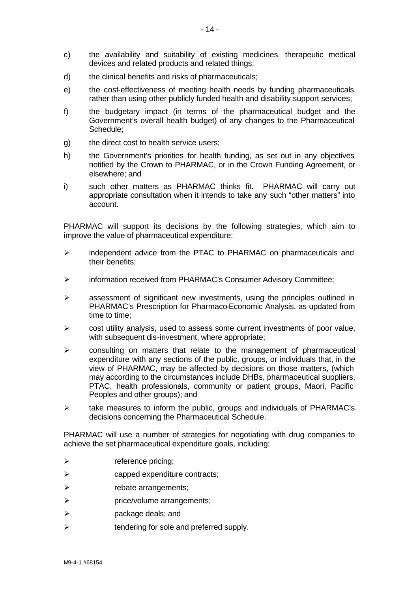- c) the availability and suitability of existing medicines, therapeutic medical devices and related products and related things;
- d) the clinical benefits and risks of pharmaceuticals;
- e) the cost-effectiveness of meeting health needs by funding pharmaceuticals rather than using other publicly funded health and disability support services;
- f) the budgetary impact (in terms of the pharmaceutical budget and the Government's overall health budget) of any changes to the Pharmaceutical Schedule;
- g) the direct cost to health service users;
- h) the Government's priorities for health funding, as set out in any objectives notified by the Crown to PHARMAC, or in the Crown Funding Agreement, or elsewhere; and
- i) such other matters as PHARMAC thinks fit. PHARMAC will carry out appropriate consultation when it intends to take any such "other matters" into account.

PHARMAC will support its decisions by the following strategies, which aim to improve the value of pharmaceutical expenditure:

- $\triangleright$  independent advice from the PTAC to PHARMAC on pharmaceuticals and their benefits;
- ÿ information received from PHARMAC's Consumer Advisory Committee;
- $\triangleright$  assessment of significant new investments, using the principles outlined in PHARMAC's Prescription for Pharmaco-Economic Analysis, as updated from time to time;
- $\triangleright$  cost utility analysis, used to assess some current investments of poor value, with subsequent dis-investment, where appropriate;
- $\triangleright$  consulting on matters that relate to the management of pharmaceutical expenditure with any sections of the public, groups, or individuals that, in the view of PHARMAC, may be affected by decisions on those matters, (which may according to the circumstances include DHBs, pharmaceutical suppliers, PTAC, health professionals, community or patient groups, Maori, Pacific Peoples and other groups); and
- $\triangleright$  take measures to inform the public, groups and individuals of PHARMAC's decisions concerning the Pharmaceutical Schedule.

PHARMAC will use a number of strategies for negotiating with drug companies to achieve the set pharmaceutical expenditure goals, including:

- $\triangleright$  reference pricing;
- $\triangleright$  capped expenditure contracts;
- $\triangleright$  rebate arrangements;
- $\triangleright$  price/volume arrangements;
- $\triangleright$  package deals; and
- $\triangleright$  tendering for sole and preferred supply.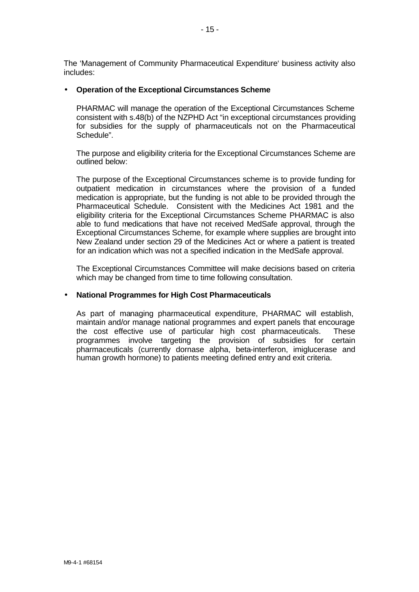The 'Management of Community Pharmaceutical Expenditure' business activity also includes:

#### • **Operation of the Exceptional Circumstances Scheme**

PHARMAC will manage the operation of the Exceptional Circumstances Scheme consistent with s.48(b) of the NZPHD Act "in exceptional circumstances providing for subsidies for the supply of pharmaceuticals not on the Pharmaceutical Schedule".

The purpose and eligibility criteria for the Exceptional Circumstances Scheme are outlined below:

The purpose of the Exceptional Circumstances scheme is to provide funding for outpatient medication in circumstances where the provision of a funded medication is appropriate, but the funding is not able to be provided through the Pharmaceutical Schedule. Consistent with the Medicines Act 1981 and the eligibility criteria for the Exceptional Circumstances Scheme PHARMAC is also able to fund medications that have not received MedSafe approval, through the Exceptional Circumstances Scheme, for example where supplies are brought into New Zealand under section 29 of the Medicines Act or where a patient is treated for an indication which was not a specified indication in the MedSafe approval.

The Exceptional Circumstances Committee will make decisions based on criteria which may be changed from time to time following consultation.

#### • **National Programmes for High Cost Pharmaceuticals**

As part of managing pharmaceutical expenditure, PHARMAC will establish, maintain and/or manage national programmes and expert panels that encourage the cost effective use of particular high cost pharmaceuticals. These programmes involve targeting the provision of subsidies for certain pharmaceuticals (currently dornase alpha, beta-interferon, imiglucerase and human growth hormone) to patients meeting defined entry and exit criteria.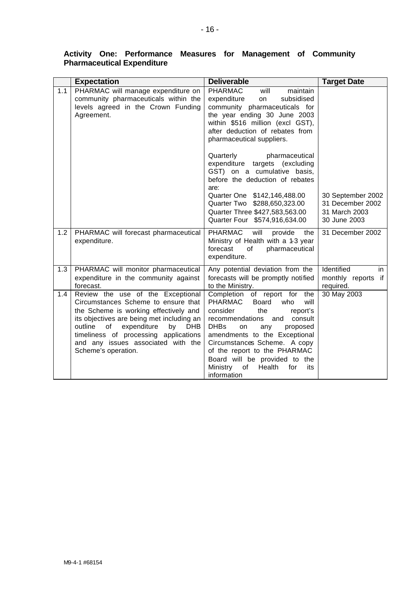|     | <b>Expectation</b>                                                                                                                                                                                                                                                                                                       | <b>Deliverable</b>                                                                                                                                                                                                                                                                                                                                                            | <b>Target Date</b>                                                     |
|-----|--------------------------------------------------------------------------------------------------------------------------------------------------------------------------------------------------------------------------------------------------------------------------------------------------------------------------|-------------------------------------------------------------------------------------------------------------------------------------------------------------------------------------------------------------------------------------------------------------------------------------------------------------------------------------------------------------------------------|------------------------------------------------------------------------|
| 1.1 | PHARMAC will manage expenditure on<br>community pharmaceuticals within the<br>levels agreed in the Crown Funding<br>Agreement.                                                                                                                                                                                           | <b>PHARMAC</b><br>will<br>maintain<br>expenditure<br>subsidised<br>on<br>community pharmaceuticals for<br>the year ending 30 June 2003<br>within \$516 million (excl GST),<br>after deduction of rebates from<br>pharmaceutical suppliers.                                                                                                                                    |                                                                        |
|     |                                                                                                                                                                                                                                                                                                                          | Quarterly<br>pharmaceutical<br>expenditure targets (excluding<br>GST) on a cumulative basis,<br>before the deduction of rebates<br>are:<br>Quarter One \$142,146,488.00<br>Quarter Two \$288,650,323.00<br>Quarter Three \$427,583,563.00<br>Quarter Four \$574,916,634.00                                                                                                    | 30 September 2002<br>31 December 2002<br>31 March 2003<br>30 June 2003 |
| 1.2 | PHARMAC will forecast pharmaceutical<br>expenditure.                                                                                                                                                                                                                                                                     | <b>PHARMAC</b><br>will<br>provide<br>the<br>Ministry of Health with a 1-3 year<br>forecast<br>of<br>pharmaceutical<br>expenditure.                                                                                                                                                                                                                                            | 31 December 2002                                                       |
| 1.3 | PHARMAC will monitor pharmaceutical<br>expenditure in the community against<br>forecast.                                                                                                                                                                                                                                 | Any potential deviation from the<br>forecasts will be promptly notified<br>to the Ministry.                                                                                                                                                                                                                                                                                   | Identified<br>in<br>monthly reports if<br>required.                    |
| 1.4 | Review the use of the Exceptional<br>Circumstances Scheme to ensure that<br>the Scheme is working effectively and<br>its objectives are being met including an<br>of<br>expenditure<br><b>DHB</b><br>outline<br>by<br>timeliness of processing applications<br>and any issues associated with the<br>Scheme's operation. | Completion of report for the<br><b>PHARMAC</b><br>Board<br>who<br>will<br>consider<br>the<br>report's<br>consult<br>recommendations<br>and<br><b>DHBs</b><br>proposed<br>on<br>any<br>amendments to the Exceptional<br>Circumstances Scheme. A copy<br>of the report to the PHARMAC<br>Board will be provided to the<br>Ministry<br>Health<br>for<br>of<br>its<br>information | 30 May 2003                                                            |

### **Activity One: Performance Measures for Management of Community Pharmaceutical Expenditure**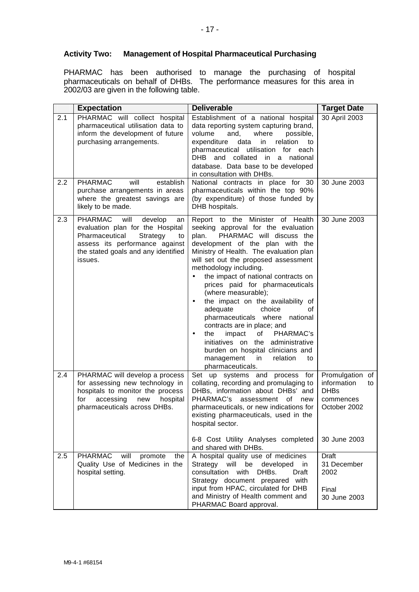## **Activity Two: Management of Hospital Pharmaceutical Purchasing**

PHARMAC has been authorised to manage the purchasing of hospital pharmaceuticals on behalf of DHBs. The performance measures for this area in 2002/03 are given in the following table.

|            | <b>Expectation</b>                                                                                                                                                                                  | <b>Deliverable</b>                                                                                                                                                                                                                                                                                                                                                                                                                                                                                                                                                                                                                                                          | <b>Target Date</b>                                                                               |
|------------|-----------------------------------------------------------------------------------------------------------------------------------------------------------------------------------------------------|-----------------------------------------------------------------------------------------------------------------------------------------------------------------------------------------------------------------------------------------------------------------------------------------------------------------------------------------------------------------------------------------------------------------------------------------------------------------------------------------------------------------------------------------------------------------------------------------------------------------------------------------------------------------------------|--------------------------------------------------------------------------------------------------|
| 2.1<br>2.2 | PHARMAC will collect hospital<br>pharmaceutical utilisation data to<br>inform the development of future<br>purchasing arrangements.<br><b>PHARMAC</b><br>will<br>establish                          | Establishment of a national hospital<br>data reporting system capturing brand,<br>and,<br>volume<br>where<br>possible,<br>relation<br>expenditure<br>data<br>in<br>to<br>pharmaceutical utilisation for each<br>DHB and collated<br>in a national<br>database. Data base to be developed<br>in consultation with DHBs.<br>National contracts in place for 30                                                                                                                                                                                                                                                                                                                | 30 April 2003<br>30 June 2003                                                                    |
|            | purchase arrangements in areas<br>where the greatest savings are<br>likely to be made.                                                                                                              | pharmaceuticals within the top 90%<br>(by expenditure) of those funded by<br>DHB hospitals.                                                                                                                                                                                                                                                                                                                                                                                                                                                                                                                                                                                 |                                                                                                  |
| 2.3        | <b>PHARMAC</b><br>will<br>develop<br>an<br>evaluation plan for the Hospital<br>Strategy<br>Pharmaceutical<br>to<br>assess its performance against<br>the stated goals and any identified<br>issues. | Report to the Minister of Health<br>seeking approval for the evaluation<br>PHARMAC will discuss the<br>plan.<br>development of the plan with the<br>Ministry of Health. The evaluation plan<br>will set out the proposed assessment<br>methodology including.<br>the impact of national contracts on<br>prices paid for pharmaceuticals<br>(where measurable);<br>the impact on the availability of<br>adequate<br>choice<br>οf<br>pharmaceuticals where<br>national<br>contracts are in place; and<br>of<br>PHARMAC's<br>impact<br>the<br>initiatives on the administrative<br>burden on hospital clinicians and<br>management<br>relation<br>in<br>to<br>pharmaceuticals. | 30 June 2003                                                                                     |
| 2.4        | PHARMAC will develop a process<br>for assessing new technology in<br>hospitals to monitor the process<br>accessing<br>for<br>new<br>hospital<br>pharmaceuticals across DHBs.                        | Set up systems and process for<br>collating, recording and promulaging to<br>DHBs, information about DHBs' and<br>PHARMAC's<br>assessment of<br>new<br>pharmaceuticals, or new indications for<br>existing pharmaceuticals, used in the<br>hospital sector.<br>6-8 Cost Utility Analyses completed<br>and shared with DHBs.                                                                                                                                                                                                                                                                                                                                                 | Promulgation of<br>information<br>to<br><b>DHBs</b><br>commences<br>October 2002<br>30 June 2003 |
| 2.5        | <b>PHARMAC</b><br>will<br>promote<br>the<br>Quality Use of Medicines in the<br>hospital setting.                                                                                                    | A hospital quality use of medicines<br>Strategy will be developed<br>in<br>consultation<br>with<br>DHBs.<br>Draft<br>Strategy document prepared with<br>input from HPAC, circulated for DHB<br>and Ministry of Health comment and<br>PHARMAC Board approval.                                                                                                                                                                                                                                                                                                                                                                                                                | <b>Draft</b><br>31 December<br>2002<br>Final<br>30 June 2003                                     |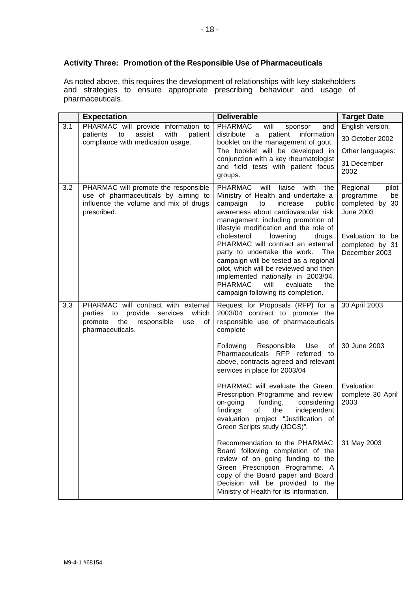## **Activity Three: Promotion of the Responsible Use of Pharmaceuticals**

As noted above, this requires the development of relationships with key stakeholders and strategies to ensure appropriate prescribing behaviour and usage of pharmaceuticals.

|     | <b>Expectation</b>                                                                                                                         | <b>Deliverable</b>                                                                                                                                                                                                                                                                                                      | <b>Target Date</b>                                                                                          |
|-----|--------------------------------------------------------------------------------------------------------------------------------------------|-------------------------------------------------------------------------------------------------------------------------------------------------------------------------------------------------------------------------------------------------------------------------------------------------------------------------|-------------------------------------------------------------------------------------------------------------|
| 3.1 | PHARMAC will provide information to<br>assist<br>with<br>patients<br>to<br>patient                                                         | <b>PHARMAC</b><br>will<br>and<br>sponsor<br>distribute<br>patient<br>information<br>a                                                                                                                                                                                                                                   | English version:                                                                                            |
|     | compliance with medication usage.                                                                                                          | booklet on the management of gout.                                                                                                                                                                                                                                                                                      | 30 October 2002                                                                                             |
|     |                                                                                                                                            | The booklet will be developed in                                                                                                                                                                                                                                                                                        | Other languages:                                                                                            |
|     |                                                                                                                                            | conjunction with a key rheumatologist<br>and field tests with patient focus<br>groups.                                                                                                                                                                                                                                  | 31 December<br>2002                                                                                         |
| 3.2 | PHARMAC will promote the responsible<br>use of pharmaceuticals by aiming to<br>influence the volume and mix of drugs<br>prescribed.        | PHARMAC<br>will<br>liaise<br>with<br>the<br>Ministry of Health and undertake a<br>campaign<br>to<br>increase<br>public<br>awareness about cardiovascular risk<br>management, including promotion of<br>lifestyle modification and the role of<br>cholesterol<br>lowering<br>drugs.<br>PHARMAC will contract an external | Regional<br>pilot<br>programme<br>be<br>completed by 30<br>June 2003<br>Evaluation to be<br>completed by 31 |
|     |                                                                                                                                            | party to undertake the work.<br>The<br>campaign will be tested as a regional<br>pilot, which will be reviewed and then<br>implemented nationally in 2003/04.<br><b>PHARMAC</b><br>will<br>the<br>evaluate<br>campaign following its completion.                                                                         | December 2003                                                                                               |
| 3.3 | PHARMAC will contract with external<br>parties to provide services<br>which<br>promote the<br>responsible<br>0f<br>use<br>pharmaceuticals. | Request for Proposals (RFP) for a<br>2003/04 contract to promote the<br>responsible use of pharmaceuticals<br>complete                                                                                                                                                                                                  | 30 April 2003                                                                                               |
|     |                                                                                                                                            | Following<br>Responsible<br>Use<br>οf<br>Pharmaceuticals RFP referred<br>to<br>above, contracts agreed and relevant<br>services in place for 2003/04                                                                                                                                                                    | 30 June 2003                                                                                                |
|     |                                                                                                                                            | PHARMAC will evaluate the Green<br>Prescription Programme and review<br>on-going<br>funding,<br>considering<br>findings<br>of<br>the<br>independent<br>evaluation project "Justification of<br>Green Scripts study (JOGS)".                                                                                             | Evaluation<br>complete 30 April<br>2003                                                                     |
|     |                                                                                                                                            | Recommendation to the PHARMAC<br>Board following completion of the<br>review of on going funding to the<br>Green Prescription Programme. A<br>copy of the Board paper and Board<br>Decision will be provided to the<br>Ministry of Health for its information.                                                          | 31 May 2003                                                                                                 |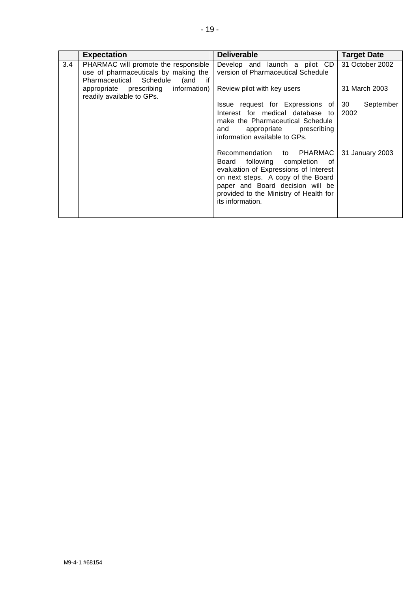|               | <b>Expectation</b>                                                                                                     | <b>Deliverable</b>                                                                                                                                                                                                                                | <b>Target Date</b>      |
|---------------|------------------------------------------------------------------------------------------------------------------------|---------------------------------------------------------------------------------------------------------------------------------------------------------------------------------------------------------------------------------------------------|-------------------------|
| $3.4^{\circ}$ | PHARMAC will promote the responsible<br>use of pharmaceuticals by making the<br>Pharmaceutical Schedule<br>(and<br>if. | Develop and launch a pilot CD<br>version of Pharmaceutical Schedule                                                                                                                                                                               | 31 October 2002         |
|               | appropriate prescribing information)<br>readily available to GPs.                                                      | Review pilot with key users                                                                                                                                                                                                                       | 31 March 2003           |
|               |                                                                                                                        | Issue request for Expressions of<br>Interest for medical database to<br>make the Pharmaceutical Schedule<br>appropriate prescribing<br>and<br>information available to GPs.                                                                       | 30<br>September<br>2002 |
|               |                                                                                                                        | Recommendation to PHARMAC<br>following completion<br>Board<br>of<br>evaluation of Expressions of Interest<br>on next steps. A copy of the Board<br>paper and Board decision will be<br>provided to the Ministry of Health for<br>its information. | 31 January 2003         |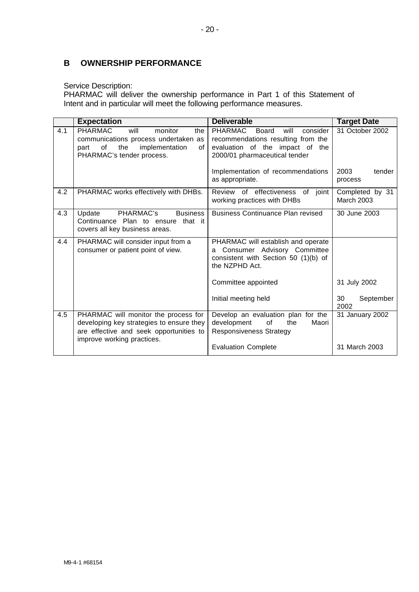# **B OWNERSHIP PERFORMANCE**

#### Service Description:

PHARMAC will deliver the ownership performance in Part 1 of this Statement of Intent and in particular will meet the following performance measures.

|     | <b>Expectation</b>                                                                                                                                         | <b>Deliverable</b>                                                                                                                                    | <b>Target Date</b>                       |
|-----|------------------------------------------------------------------------------------------------------------------------------------------------------------|-------------------------------------------------------------------------------------------------------------------------------------------------------|------------------------------------------|
| 4.1 | <b>PHARMAC</b><br>will<br>monitor<br>the<br>communications process undertaken as<br>the<br>of<br>implementation<br>οf<br>part<br>PHARMAC's tender process. | <b>PHARMAC</b><br>consider<br>Board<br>will<br>recommendations resulting from the<br>evaluation of the impact of the<br>2000/01 pharmaceutical tender | 31 October 2002                          |
|     |                                                                                                                                                            | Implementation of recommendations<br>as appropriate.                                                                                                  | 2003<br>tender<br>process                |
| 4.2 | PHARMAC works effectively with DHBs.                                                                                                                       | Review of effectiveness of joint<br>working practices with DHBs                                                                                       | Completed by 31<br><b>March 2003</b>     |
| 4.3 | PHARMAC's<br>Update<br><b>Business</b><br>Continuance Plan to ensure that it<br>covers all key business areas.                                             | <b>Business Continuance Plan revised</b>                                                                                                              | 30 June 2003                             |
| 4.4 | PHARMAC will consider input from a<br>consumer or patient point of view.                                                                                   | PHARMAC will establish and operate<br>Consumer Advisory Committee<br>a<br>consistent with Section 50 (1)(b) of<br>the NZPHD Act.                      |                                          |
|     |                                                                                                                                                            | Committee appointed<br>Initial meeting held                                                                                                           | 31 July 2002<br>30<br>September          |
| 4.5 | PHARMAC will monitor the process for<br>developing key strategies to ensure they<br>are effective and seek opportunities to<br>improve working practices.  | Develop an evaluation plan for the<br>development<br>of<br>the<br>Maori<br><b>Responsiveness Strategy</b><br><b>Evaluation Complete</b>               | 2002<br>31 January 2002<br>31 March 2003 |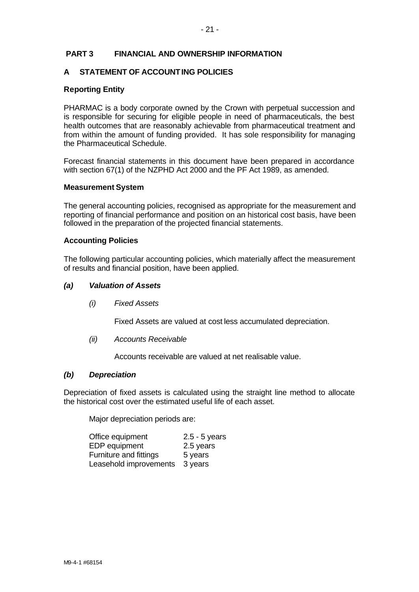#### **PART 3 FINANCIAL AND OWNERSHIP INFORMATION**

## **A STATEMENT OF ACCOUNTING POLICIES**

#### **Reporting Entity**

PHARMAC is a body corporate owned by the Crown with perpetual succession and is responsible for securing for eligible people in need of pharmaceuticals, the best health outcomes that are reasonably achievable from pharmaceutical treatment and from within the amount of funding provided. It has sole responsibility for managing the Pharmaceutical Schedule.

Forecast financial statements in this document have been prepared in accordance with section 67(1) of the NZPHD Act 2000 and the PF Act 1989, as amended.

#### **Measurement System**

The general accounting policies, recognised as appropriate for the measurement and reporting of financial performance and position on an historical cost basis, have been followed in the preparation of the projected financial statements.

#### **Accounting Policies**

The following particular accounting policies, which materially affect the measurement of results and financial position, have been applied.

#### *(a) Valuation of Assets*

*(i) Fixed Assets*

Fixed Assets are valued at cost less accumulated depreciation.

*(ii) Accounts Receivable*

Accounts receivable are valued at net realisable value.

#### *(b) Depreciation*

Depreciation of fixed assets is calculated using the straight line method to allocate the historical cost over the estimated useful life of each asset.

Major depreciation periods are:

| Office equipment       | $2.5 - 5$ years |
|------------------------|-----------------|
| EDP equipment          | 2.5 years       |
| Furniture and fittings | 5 years         |
| Leasehold improvements | 3 years         |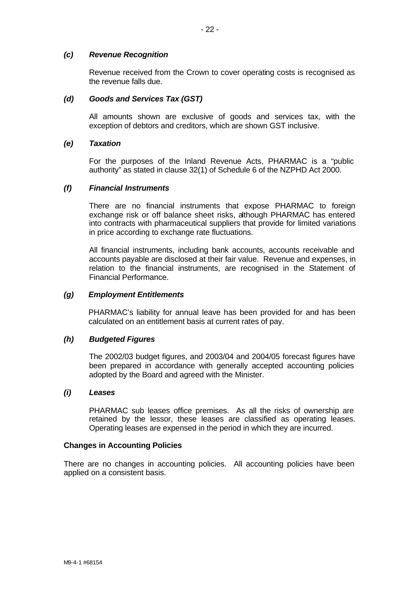#### *(c) Revenue Recognition*

Revenue received from the Crown to cover operating costs is recognised as the revenue falls due.

#### *(d) Goods and Services Tax (GST)*

All amounts shown are exclusive of goods and services tax, with the exception of debtors and creditors, which are shown GST inclusive.

#### *(e) Taxation*

For the purposes of the Inland Revenue Acts, PHARMAC is a "public authority" as stated in clause 32(1) of Schedule 6 of the NZPHD Act 2000.

#### *(f) Financial Instruments*

There are no financial instruments that expose PHARMAC to foreign exchange risk or off balance sheet risks, although PHARMAC has entered into contracts with pharmaceutical suppliers that provide for limited variations in price according to exchange rate fluctuations.

All financial instruments, including bank accounts, accounts receivable and accounts payable are disclosed at their fair value. Revenue and expenses, in relation to the financial instruments, are recognised in the Statement of Financial Performance.

#### *(g) Employment Entitlements*

PHARMAC's liability for annual leave has been provided for and has been calculated on an entitlement basis at current rates of pay.

#### *(h) Budgeted Figures*

The 2002/03 budget figures, and 2003/04 and 2004/05 forecast figures have been prepared in accordance with generally accepted accounting policies adopted by the Board and agreed with the Minister.

#### *(i) Leases*

PHARMAC sub leases office premises. As all the risks of ownership are retained by the lessor, these leases are classified as operating leases. Operating leases are expensed in the period in which they are incurred.

#### **Changes in Accounting Policies**

There are no changes in accounting policies. All accounting policies have been applied on a consistent basis.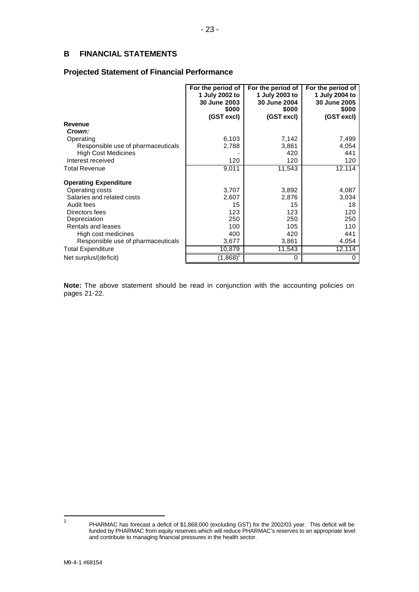## **B FINANCIAL STATEMENTS**

#### **Projected Statement of Financial Performance**

|                                                                               | For the period of<br>1 July 2002 to<br>30 June 2003<br>\$000<br>(GST excl) | For the period of<br>1 July 2003 to<br>30 June 2004<br>\$000<br>(GST excl) | For the period of<br>1 July 2004 to<br>30 June 2005<br>\$000<br>(GST excl) |
|-------------------------------------------------------------------------------|----------------------------------------------------------------------------|----------------------------------------------------------------------------|----------------------------------------------------------------------------|
| Revenue                                                                       |                                                                            |                                                                            |                                                                            |
| Crown:                                                                        |                                                                            |                                                                            |                                                                            |
| Operating                                                                     | 6,103                                                                      | 7,142                                                                      | 7,499                                                                      |
| Responsible use of pharmaceuticals                                            | 2,788                                                                      | 3,861                                                                      | 4,054                                                                      |
| <b>High Cost Medicines</b>                                                    |                                                                            | 420                                                                        | 441                                                                        |
| Interest received                                                             | 120                                                                        | 120                                                                        | 120                                                                        |
| <b>Total Revenue</b>                                                          | 9,011                                                                      | 11,543                                                                     | 12,114                                                                     |
| <b>Operating Expenditure</b><br>Operating costs<br>Salaries and related costs | 3,707<br>2,607                                                             | 3,892<br>2,876                                                             | 4,087<br>3,034                                                             |
| Audit fees                                                                    | 15                                                                         | 15                                                                         | 18                                                                         |
| Directors fees                                                                | 123                                                                        | 123                                                                        | 120                                                                        |
| Depreciation                                                                  | 250                                                                        | 250                                                                        | 250                                                                        |
| Rentals and leases                                                            | 100                                                                        | 105                                                                        | 110                                                                        |
| High cost medicines                                                           | 400                                                                        | 420                                                                        | 441                                                                        |
| Responsible use of pharmaceuticals                                            | 3,677                                                                      | 3,861                                                                      | 4,054                                                                      |
| <b>Total Expenditure</b>                                                      | 10,879                                                                     | 11,543                                                                     | 12,114                                                                     |
| Net surplus/(deficit)                                                         | (1,868)                                                                    | O                                                                          | 0                                                                          |

**Note:** The above statement should be read in conjunction with the accounting policies on pages 21-22.

 $\overline{1}$ 

PHARMAC has forecast a deficit of \$1,868,000 (excluding GST) for the 2002/03 year. This deficit will be funded by PHARMAC from equity reserves which will reduce PHARMAC's reserves to an appropriate level and contribute to managing financial pressures in the health sector.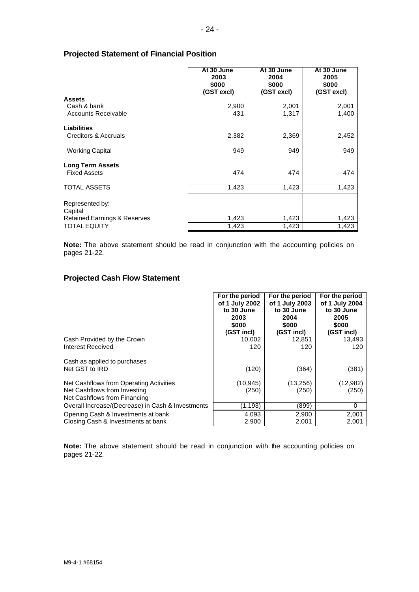#### **Projected Statement of Financial Position**

|                                                                                              | At 30 June<br>2003<br>\$000<br>(GST excl) | At 30 June<br>2004<br>\$000<br>(GST excl) | At 30 June<br>2005<br>\$000<br>(GST excl) |
|----------------------------------------------------------------------------------------------|-------------------------------------------|-------------------------------------------|-------------------------------------------|
| <b>Assets</b><br>Cash & bank<br><b>Accounts Receivable</b>                                   | 2,900<br>431                              | 2,001<br>1,317                            | 2,001<br>1,400                            |
| Liabilities<br>Creditors & Accruals                                                          | 2,382                                     | 2,369                                     | 2,452                                     |
| <b>Working Capital</b>                                                                       | 949                                       | 949                                       | 949                                       |
| <b>Long Term Assets</b><br><b>Fixed Assets</b>                                               | 474                                       | 474                                       | 474                                       |
| <b>TOTAL ASSETS</b>                                                                          | 1,423                                     | 1,423                                     | 1,423                                     |
| Represented by:<br>Capital<br><b>Retained Earnings &amp; Reserves</b><br><b>TOTAL EQUITY</b> | 1,423<br>1,423                            | 1,423<br>1,423                            | 1,423<br>1,423                            |

**Note:** The above statement should be read in conjunction with the accounting policies on pages 21-22.

## **Projected Cash Flow Statement**

|                                                                                                         | For the period     | For the period     | For the period    |
|---------------------------------------------------------------------------------------------------------|--------------------|--------------------|-------------------|
|                                                                                                         | of 1 July 2002     | of 1 July 2003     | of 1 July 2004    |
|                                                                                                         | to 30 June         | to 30 June         | to 30 June        |
|                                                                                                         | 2003               | 2004               | 2005              |
|                                                                                                         | \$000              | \$000              | \$000             |
|                                                                                                         | (GST incl)         | (GST incl)         | (GST incl)        |
| Cash Provided by the Crown                                                                              | 10,002             | 12,851             | 13,493            |
| Interest Received                                                                                       | 120                | 120                | 120               |
| Cash as applied to purchases<br>Net GST to IRD                                                          | (120)              | (364)              | (381)             |
| Net Cashflows from Operating Activities<br>Net Cashflows from Investing<br>Net Cashflows from Financing | (10, 945)<br>(250) | (13, 256)<br>(250) | (12,982)<br>(250) |
| Overall Increase/(Decrease) in Cash & Investments                                                       | (1, 193)           | (899)              | 0                 |
| Opening Cash & Investments at bank                                                                      | 4,093              | 2,900              | 2,001             |
| Closing Cash & Investments at bank                                                                      | 2,900              | 2,001              | 2,001             |

**Note:** The above statement should be read in conjunction with the accounting policies on pages 21-22.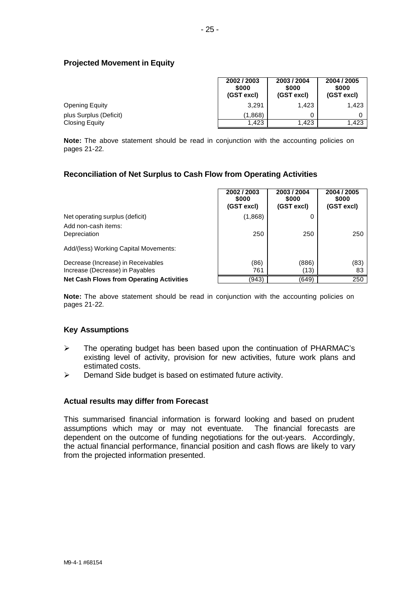## **Projected Movement in Equity**

|                        | 2002 / 2003<br>\$000<br>(GST excl) | 2003/2004<br>\$000<br>(GST excl) | 2004 / 2005<br>\$000<br>(GST excl) |
|------------------------|------------------------------------|----------------------------------|------------------------------------|
| <b>Opening Equity</b>  | 3.291                              | 1,423                            | 1,423                              |
| plus Surplus (Deficit) | (1.868)                            |                                  |                                    |
| Closing Equity         | 1.423                              | 1.423                            | 1,423                              |

**Note:** The above statement should be read in conjunction with the accounting policies on pages 21-22.

## **Reconciliation of Net Surplus to Cash Flow from Operating Activities**

|                                                 | 2002 / 2003<br>\$000<br>(GST excl) | 2003 / 2004<br>\$000<br>(GST excl) | 2004 / 2005<br>\$000<br>(GST excl) |
|-------------------------------------------------|------------------------------------|------------------------------------|------------------------------------|
| Net operating surplus (deficit)                 | (1,868)                            |                                    |                                    |
| Add non-cash items:<br>Depreciation             | 250                                | 250                                | 250                                |
| Add/(less) Working Capital Movements:           |                                    |                                    |                                    |
| Decrease (Increase) in Receivables              | (86)                               | (886)                              | (83)                               |
| Increase (Decrease) in Payables                 | 761                                | (13)                               | 83                                 |
| <b>Net Cash Flows from Operating Activities</b> | (943)                              | (649)                              | 250                                |

**Note:** The above statement should be read in conjunction with the accounting policies on pages 21-22.

## **Key Assumptions**

- $\triangleright$  The operating budget has been based upon the continuation of PHARMAC's existing level of activity, provision for new activities, future work plans and estimated costs.
- $\triangleright$  Demand Side budget is based on estimated future activity.

#### **Actual results may differ from Forecast**

This summarised financial information is forward looking and based on prudent assumptions which may or may not eventuate. The financial forecasts are dependent on the outcome of funding negotiations for the out-years. Accordingly, the actual financial performance, financial position and cash flows are likely to vary from the projected information presented.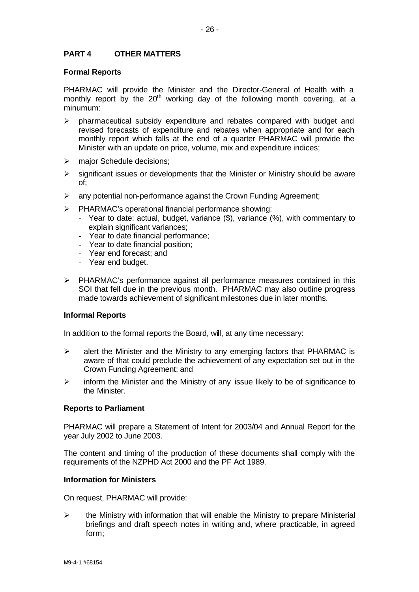## **PART 4 OTHER MATTERS**

#### **Formal Reports**

PHARMAC will provide the Minister and the Director-General of Health with a monthly report by the  $20<sup>th</sup>$  working day of the following month covering, at a minumum:

- $\triangleright$  pharmaceutical subsidy expenditure and rebates compared with budget and revised forecasts of expenditure and rebates when appropriate and for each monthly report which falls at the end of a quarter PHARMAC will provide the Minister with an update on price, volume, mix and expenditure indices;
- $\triangleright$  major Schedule decisions;
- $\triangleright$  significant issues or developments that the Minister or Ministry should be aware of;
- $\triangleright$  any potential non-performance against the Crown Funding Agreement;
- ÿ PHARMAC's operational financial performance showing:
	- Year to date: actual, budget, variance (\$), variance (%), with commentary to explain significant variances;
	- Year to date financial performance;
	- Year to date financial position;
	- Year end forecast; and
	- Year end budget.
- ÿ PHARMAC's performance against all performance measures contained in this SOI that fell due in the previous month. PHARMAC may also outline progress made towards achievement of significant milestones due in later months.

#### **Informal Reports**

In addition to the formal reports the Board, will, at any time necessary:

- $\triangleright$  alert the Minister and the Ministry to any emerging factors that PHARMAC is aware of that could preclude the achievement of any expectation set out in the Crown Funding Agreement; and
- $\triangleright$  inform the Minister and the Ministry of any issue likely to be of significance to the Minister.

#### **Reports to Parliament**

PHARMAC will prepare a Statement of Intent for 2003/04 and Annual Report for the year July 2002 to June 2003.

The content and timing of the production of these documents shall comply with the requirements of the NZPHD Act 2000 and the PF Act 1989.

#### **Information for Ministers**

On request, PHARMAC will provide:

 $\triangleright$  the Ministry with information that will enable the Ministry to prepare Ministerial briefings and draft speech notes in writing and, where practicable, in agreed form;